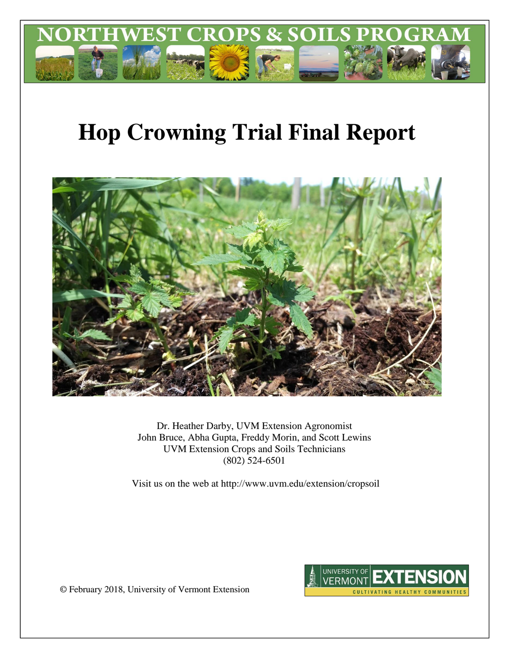

# **Hop Crowning Trial Final Report**



Dr. Heather Darby, UVM Extension Agronomist John Bruce, Abha Gupta, Freddy Morin, and Scott Lewins UVM Extension Crops and Soils Technicians (802) 524-6501

Visit us on the web at http://www.uvm.edu/extension/cropsoil



© February 2018, University of Vermont Extension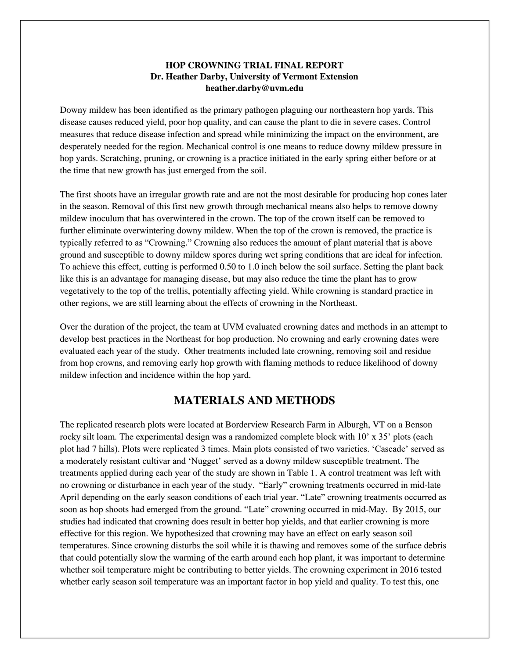## **HOP CROWNING TRIAL FINAL REPORT Dr. Heather Darby, University of Vermont Extension heather.darby@uvm.edu**

Downy mildew has been identified as the primary pathogen plaguing our northeastern hop yards. This disease causes reduced yield, poor hop quality, and can cause the plant to die in severe cases. Control measures that reduce disease infection and spread while minimizing the impact on the environment, are desperately needed for the region. Mechanical control is one means to reduce downy mildew pressure in hop yards. Scratching, pruning, or crowning is a practice initiated in the early spring either before or at the time that new growth has just emerged from the soil.

The first shoots have an irregular growth rate and are not the most desirable for producing hop cones later in the season. Removal of this first new growth through mechanical means also helps to remove downy mildew inoculum that has overwintered in the crown. The top of the crown itself can be removed to further eliminate overwintering downy mildew. When the top of the crown is removed, the practice is typically referred to as "Crowning." Crowning also reduces the amount of plant material that is above ground and susceptible to downy mildew spores during wet spring conditions that are ideal for infection. To achieve this effect, cutting is performed 0.50 to 1.0 inch below the soil surface. Setting the plant back like this is an advantage for managing disease, but may also reduce the time the plant has to grow vegetatively to the top of the trellis, potentially affecting yield. While crowning is standard practice in other regions, we are still learning about the effects of crowning in the Northeast.

Over the duration of the project, the team at UVM evaluated crowning dates and methods in an attempt to develop best practices in the Northeast for hop production. No crowning and early crowning dates were evaluated each year of the study. Other treatments included late crowning, removing soil and residue from hop crowns, and removing early hop growth with flaming methods to reduce likelihood of downy mildew infection and incidence within the hop yard.

## **MATERIALS AND METHODS**

The replicated research plots were located at Borderview Research Farm in Alburgh, VT on a Benson rocky silt loam. The experimental design was a randomized complete block with 10' x 35' plots (each plot had 7 hills). Plots were replicated 3 times. Main plots consisted of two varieties. 'Cascade' served as a moderately resistant cultivar and 'Nugget' served as a downy mildew susceptible treatment. The treatments applied during each year of the study are shown in Table 1. A control treatment was left with no crowning or disturbance in each year of the study. "Early" crowning treatments occurred in mid-late April depending on the early season conditions of each trial year. "Late" crowning treatments occurred as soon as hop shoots had emerged from the ground. "Late" crowning occurred in mid-May. By 2015, our studies had indicated that crowning does result in better hop yields, and that earlier crowning is more effective for this region. We hypothesized that crowning may have an effect on early season soil temperatures. Since crowning disturbs the soil while it is thawing and removes some of the surface debris that could potentially slow the warming of the earth around each hop plant, it was important to determine whether soil temperature might be contributing to better yields. The crowning experiment in 2016 tested whether early season soil temperature was an important factor in hop yield and quality. To test this, one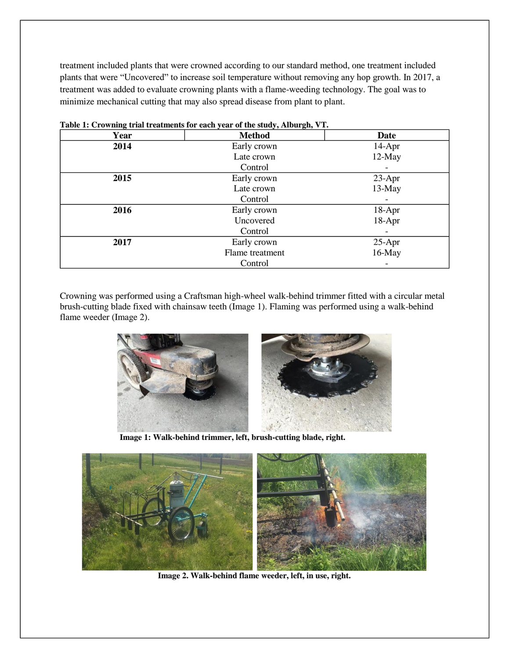treatment included plants that were crowned according to our standard method, one treatment included plants that were "Uncovered" to increase soil temperature without removing any hop growth. In 2017, a treatment was added to evaluate crowning plants with a flame-weeding technology. The goal was to minimize mechanical cutting that may also spread disease from plant to plant.

| $\sim$<br>Year | <b>Method</b>   | <b>Date</b> |
|----------------|-----------------|-------------|
| 2014           | Early crown     | 14-Apr      |
|                | Late crown      | 12-May      |
|                | Control         |             |
| 2015           | Early crown     | $23-Apr$    |
|                | Late crown      | 13-May      |
|                | Control         |             |
| 2016           | Early crown     | 18-Apr      |
|                | Uncovered       | 18-Apr      |
|                | Control         |             |
| 2017           | Early crown     | $25-Apr$    |
|                | Flame treatment | $16$ -May   |
|                | Control         |             |

**Table 1: Crowning trial treatments for each year of the study, Alburgh, VT.**

Crowning was performed using a Craftsman high-wheel walk-behind trimmer fitted with a circular metal brush-cutting blade fixed with chainsaw teeth (Image 1). Flaming was performed using a walk-behind flame weeder (Image 2).



**Image 1: Walk-behind trimmer, left, brush-cutting blade, right.**



**Image 2. Walk-behind flame weeder, left, in use, right.**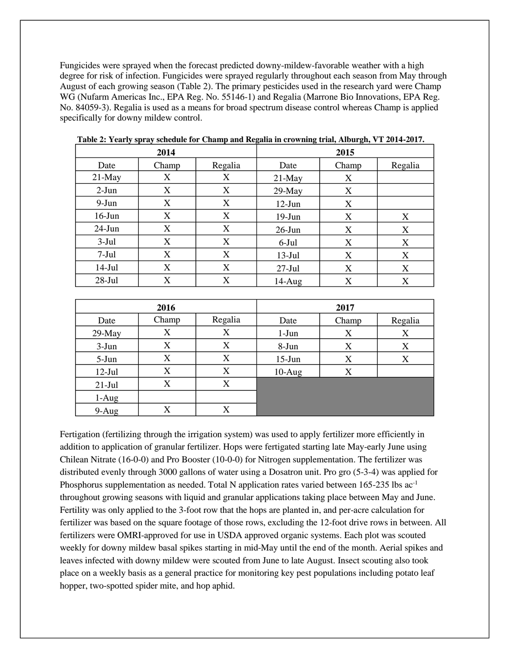Fungicides were sprayed when the forecast predicted downy-mildew-favorable weather with a high degree for risk of infection. Fungicides were sprayed regularly throughout each season from May through August of each growing season (Table 2). The primary pesticides used in the research yard were Champ WG (Nufarm Americas Inc., EPA Reg. No. 55146-1) and Regalia (Marrone Bio Innovations, EPA Reg. No. 84059-3). Regalia is used as a means for broad spectrum disease control whereas Champ is applied specifically for downy mildew control.

|           | 2014  |         |           |       |         |
|-----------|-------|---------|-----------|-------|---------|
| Date      | Champ | Regalia | Date      | Champ | Regalia |
| $21$ -May | X     | X       | $21$ -May | X     |         |
| $2-Jun$   | X     | X       | $29$ -May | X     |         |
| 9-Jun     | X     | X       | $12-Jun$  | X     |         |
| $16$ -Jun | X     | X       | $19-Jun$  | X     | X       |
| $24$ -Jun | X     | X       | $26$ -Jun | X     | X       |
| $3-Jul$   | X     | X       | $6$ -Jul  | X     | X       |
| $7-Jul$   | X     | X       | $13-Jul$  | X     | X       |
| $14-Jul$  | X     | X       | $27-Jul$  | X     | X       |
| $28-Jul$  | X     | X       | $14-Aug$  | X     | X       |

**Table 2: Yearly spray schedule for Champ and Regalia in crowning trial, Alburgh, VT 2014-2017.**

|          | 2016  |         | 2017     |       |         |  |
|----------|-------|---------|----------|-------|---------|--|
| Date     | Champ | Regalia | Date     | Champ | Regalia |  |
| 29-May   | X     | X       | $1-Jun$  | X     | X       |  |
| $3-Jun$  | X     | X       | 8-Jun    | X     | X       |  |
| $5-Jun$  | X     | X       | $15-Jun$ | X     | X       |  |
| $12-Jul$ | X     | X       | $10-Aug$ | X     |         |  |
| $21-Jul$ | X     | X       |          |       |         |  |
| $1-Aug$  |       |         |          |       |         |  |
| $9-Aug$  | X     | X       |          |       |         |  |

Fertigation (fertilizing through the irrigation system) was used to apply fertilizer more efficiently in addition to application of granular fertilizer. Hops were fertigated starting late May-early June using Chilean Nitrate (16-0-0) and Pro Booster (10-0-0) for Nitrogen supplementation. The fertilizer was distributed evenly through 3000 gallons of water using a Dosatron unit. Pro gro (5-3-4) was applied for Phosphorus supplementation as needed. Total N application rates varied between 165-235 lbs ac<sup>-1</sup> throughout growing seasons with liquid and granular applications taking place between May and June. Fertility was only applied to the 3-foot row that the hops are planted in, and per-acre calculation for fertilizer was based on the square footage of those rows, excluding the 12-foot drive rows in between. All fertilizers were OMRI-approved for use in USDA approved organic systems. Each plot was scouted weekly for downy mildew basal spikes starting in mid-May until the end of the month. Aerial spikes and leaves infected with downy mildew were scouted from June to late August. Insect scouting also took place on a weekly basis as a general practice for monitoring key pest populations including potato leaf hopper, two-spotted spider mite, and hop aphid.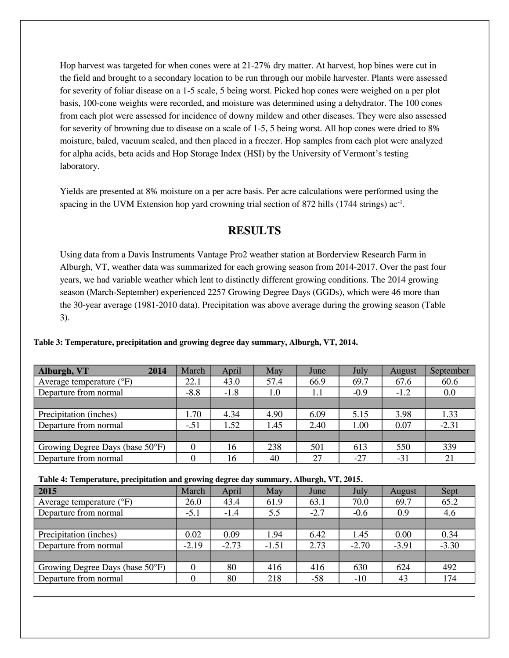Hop harvest was targeted for when cones were at 21-27% dry matter. At harvest, hop bines were cut in the field and brought to a secondary location to be run through our mobile harvester. Plants were assessed for severity of foliar disease on a 1-5 scale, 5 being worst. Picked hop cones were weighed on a per plot basis, 100-cone weights were recorded, and moisture was determined using a dehydrator. The 100 cones from each plot were assessed for incidence of downy mildew and other diseases. They were also assessed for severity of browning due to disease on a scale of 1-5, 5 being worst. All hop cones were dried to 8% moisture, baled, vacuum sealed, and then placed in a freezer. Hop samples from each plot were analyzed for alpha acids, beta acids and Hop Storage Index (HSI) by the University of Vermont's testing laboratory.

Yields are presented at 8% moisture on a per acre basis. Per acre calculations were performed using the spacing in the UVM Extension hop yard crowning trial section of 872 hills (1744 strings) ac<sup>-1</sup>.

# **RESULTS**

Using data from a Davis Instruments Vantage Pro2 weather station at Borderview Research Farm in Alburgh, VT, weather data was summarized for each growing season from 2014-2017. Over the past four years, we had variable weather which lent to distinctly different growing conditions. The 2014 growing season (March-September) experienced 2257 Growing Degree Days (GGDs), which were 46 more than the 30-year average (1981-2010 data). Precipitation was above average during the growing season (Table 3).

|  |  | Table 3: Temperature, precipitation and growing degree day summary, Alburgh, VT, 2014. |  |
|--|--|----------------------------------------------------------------------------------------|--|
|  |  |                                                                                        |  |

| <b>Alburgh, VT</b><br>2014        | March  | April  | May  | June | July   | August | September |
|-----------------------------------|--------|--------|------|------|--------|--------|-----------|
| Average temperature $(^{\circ}F)$ | 22.1   | 43.0   | 57.4 | 66.9 | 69.7   | 67.6   | 60.6      |
| Departure from normal             | $-8.8$ | $-1.8$ | 1.0  | 1.1  | $-0.9$ | $-1.2$ | 0.0       |
|                                   |        |        |      |      |        |        |           |
| Precipitation (inches)            | 1.70   | 4.34   | 4.90 | 6.09 | 5.15   | 3.98   | 1.33      |
| Departure from normal             | $-.51$ | 1.52   | 1.45 | 2.40 | 1.00   | 0.07   | $-2.31$   |
|                                   |        |        |      |      |        |        |           |
| Growing Degree Days (base 50°F)   |        | 16     | 238  | 501  | 613    | 550    | 339       |
| Departure from normal             |        | 16     | 40   | 27   | $-27$  | $-31$  | 21        |

| Table 4: Temperature, precipitation and growing degree day summary, Alburgh, VT, 2015. |  |  |  |  |  |
|----------------------------------------------------------------------------------------|--|--|--|--|--|
|----------------------------------------------------------------------------------------|--|--|--|--|--|

| Thought the component of preception of the growing wearer only building it in the gas $\tau$ report to |         |         |        |         |         |         |  |  |  |
|--------------------------------------------------------------------------------------------------------|---------|---------|--------|---------|---------|---------|--|--|--|
| March                                                                                                  | April   | May     | June   | July    | August  | Sept    |  |  |  |
| 26.0                                                                                                   | 43.4    | 61.9    | 63.1   | 70.0    | 69.7    | 65.2    |  |  |  |
| $-5.1$                                                                                                 | $-1.4$  | 5.5     | $-2.7$ | $-0.6$  | 0.9     | 4.6     |  |  |  |
|                                                                                                        |         |         |        |         |         |         |  |  |  |
| 0.02                                                                                                   | 0.09    | 1.94    | 6.42   | 1.45    | 0.00    | 0.34    |  |  |  |
| $-2.19$                                                                                                | $-2.73$ | $-1.51$ | 2.73   | $-2.70$ | $-3.91$ | $-3.30$ |  |  |  |
|                                                                                                        |         |         |        |         |         |         |  |  |  |
|                                                                                                        | 80      | 416     | 416    | 630     | 624     | 492     |  |  |  |
|                                                                                                        | 80      | 218     | $-58$  | $-10$   | 43      | 174     |  |  |  |
|                                                                                                        |         |         |        |         |         |         |  |  |  |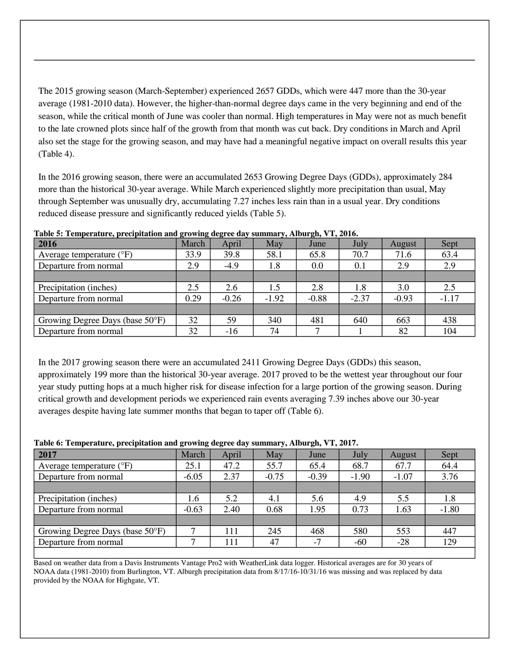The 2015 growing season (March-September) experienced 2657 GDDs, which were 447 more than the 30-year average (1981-2010 data). However, the higher-than-normal degree days came in the very beginning and end of the season, while the critical month of June was cooler than normal. High temperatures in May were not as much benefit to the late crowned plots since half of the growth from that month was cut back. Dry conditions in March and April also set the stage for the growing season, and may have had a meaningful negative impact on overall results this year (Table 4).

In the 2016 growing season, there were an accumulated 2653 Growing Degree Days (GDDs), approximately 284 more than the historical 30-year average. While March experienced slightly more precipitation than usual, May through September was unusually dry, accumulating 7.27 inches less rain than in a usual year. Dry conditions reduced disease pressure and significantly reduced yields (Table 5).

| 2016                              | -<br>$\overline{\phantom{a}}$<br>March | April   | May     | $\bullet$<br>June | July    | August  | Sept    |
|-----------------------------------|----------------------------------------|---------|---------|-------------------|---------|---------|---------|
| Average temperature $(^{\circ}F)$ | 33.9                                   | 39.8    | 58.1    | 65.8              | 70.7    | 71.6    | 63.4    |
| Departure from normal             | 2.9                                    | $-4.9$  | 1.8     | 0.0               | 0.1     | 2.9     | 2.9     |
|                                   |                                        |         |         |                   |         |         |         |
| Precipitation (inches)            | 2.5                                    | 2.6     | 1.5     | 2.8               | 1.8     | 3.0     | 2.5     |
| Departure from normal             | 0.29                                   | $-0.26$ | $-1.92$ | $-0.88$           | $-2.37$ | $-0.93$ | $-1.17$ |
|                                   |                                        |         |         |                   |         |         |         |
| Growing Degree Days (base 50°F)   | 32                                     | 59      | 340     | 481               | 640     | 663     | 438     |
| Departure from normal             | 32                                     | $-16$   | 74      |                   |         | 82      | 104     |

**Table 5: Temperature, precipitation and growing degree day summary, Alburgh, VT, 2016.**

In the 2017 growing season there were an accumulated 2411 Growing Degree Days (GDDs) this season, approximately 199 more than the historical 30-year average. 2017 proved to be the wettest year throughout our four year study putting hops at a much higher risk for disease infection for a large portion of the growing season. During critical growth and development periods we experienced rain events averaging 7.39 inches above our 30-year averages despite having late summer months that began to taper off (Table 6).

## **Table 6: Temperature, precipitation and growing degree day summary, Alburgh, VT, 2017.**

| $\overline{\phantom{a}}$          | $\overline{\phantom{a}}$<br>$\overline{\phantom{a}}$ |       | $\sim$  | $\sim$  |         |         |         |
|-----------------------------------|------------------------------------------------------|-------|---------|---------|---------|---------|---------|
| 2017                              | March                                                | April | May     | June    | July    | August  | Sept    |
| Average temperature $(^{\circ}F)$ | 25.1                                                 | 47.2  | 55.7    | 65.4    | 68.7    | 67.7    | 64.4    |
| Departure from normal             | $-6.05$                                              | 2.37  | $-0.75$ | $-0.39$ | $-1.90$ | $-1.07$ | 3.76    |
|                                   |                                                      |       |         |         |         |         |         |
| Precipitation (inches)            | 1.6                                                  | 5.2   | 4.1     | 5.6     | 4.9     | 5.5     | 1.8     |
| Departure from normal             | $-0.63$                                              | 2.40  | 0.68    | 1.95    | 0.73    | 1.63    | $-1.80$ |
|                                   |                                                      |       |         |         |         |         |         |
| Growing Degree Days (base 50°F)   |                                                      | 111   | 245     | 468     | 580     | 553     | 447     |
| Departure from normal             |                                                      | 111   | 47      | $-7$    | $-60$   | $-28$   | 129     |
|                                   |                                                      |       |         |         |         |         |         |

Based on weather data from a Davis Instruments Vantage Pro2 with WeatherLink data logger. Historical averages are for 30 years of NOAA data (1981-2010) from Burlington, VT. Alburgh precipitation data from 8/17/16-10/31/16 was missing and was replaced by data provided by the NOAA for Highgate, VT.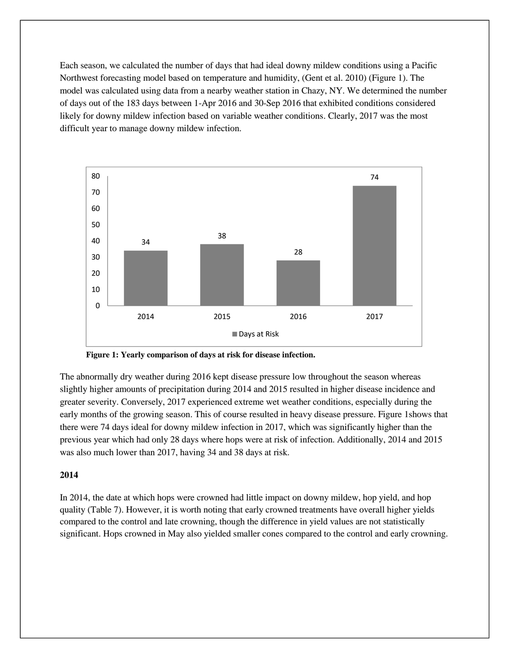Each season, we calculated the number of days that had ideal downy mildew conditions using a Pacific Northwest forecasting model based on temperature and humidity, (Gent et al. 2010) (Figure 1). The model was calculated using data from a nearby weather station in Chazy, NY. We determined the number of days out of the 183 days between 1-Apr 2016 and 30-Sep 2016 that exhibited conditions considered likely for downy mildew infection based on variable weather conditions. Clearly, 2017 was the most difficult year to manage downy mildew infection.



**Figure 1: Yearly comparison of days at risk for disease infection.**

The abnormally dry weather during 2016 kept disease pressure low throughout the season whereas slightly higher amounts of precipitation during 2014 and 2015 resulted in higher disease incidence and greater severity. Conversely, 2017 experienced extreme wet weather conditions, especially during the early months of the growing season. This of course resulted in heavy disease pressure. Figure 1shows that there were 74 days ideal for downy mildew infection in 2017, which was significantly higher than the previous year which had only 28 days where hops were at risk of infection. Additionally, 2014 and 2015 was also much lower than 2017, having 34 and 38 days at risk.

#### **2014**

In 2014, the date at which hops were crowned had little impact on downy mildew, hop yield, and hop quality (Table 7). However, it is worth noting that early crowned treatments have overall higher yields compared to the control and late crowning, though the difference in yield values are not statistically significant. Hops crowned in May also yielded smaller cones compared to the control and early crowning.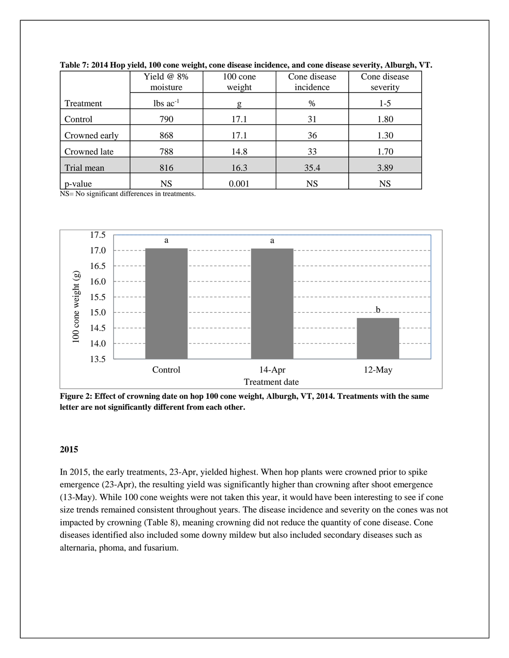|               | Yield $@$ 8%           | $100 \text{ cone}$ | Cone disease | Cone disease |
|---------------|------------------------|--------------------|--------------|--------------|
|               | moisture               | weight             | incidence    | severity     |
| Treatment     | $lbs$ ac <sup>-1</sup> | g                  | $\%$         | $1-5$        |
| Control       | 790                    | 17.1               | 31           | 1.80         |
| Crowned early | 868                    | 17.1               | 36           | 1.30         |
| Crowned late  | 788                    | 14.8               | 33           | 1.70         |
| Trial mean    | 816                    | 16.3               | 35.4         | 3.89         |
| p-value       | <b>NS</b>              | 0.001              | <b>NS</b>    | <b>NS</b>    |

|  |  |  |  | Table 7: 2014 Hop yield, 100 cone weight, cone disease incidence, and cone disease severity, Alburgh, VT. |  |  |
|--|--|--|--|-----------------------------------------------------------------------------------------------------------|--|--|

NS= No significant differences in treatments.



**Figure 2: Effect of crowning date on hop 100 cone weight, Alburgh, VT, 2014. Treatments with the same letter are not significantly different from each other.**

## **2015**

In 2015, the early treatments, 23-Apr, yielded highest. When hop plants were crowned prior to spike emergence (23-Apr), the resulting yield was significantly higher than crowning after shoot emergence (13-May). While 100 cone weights were not taken this year, it would have been interesting to see if cone size trends remained consistent throughout years. The disease incidence and severity on the cones was not impacted by crowning (Table 8), meaning crowning did not reduce the quantity of cone disease. Cone diseases identified also included some downy mildew but also included secondary diseases such as alternaria, phoma, and fusarium.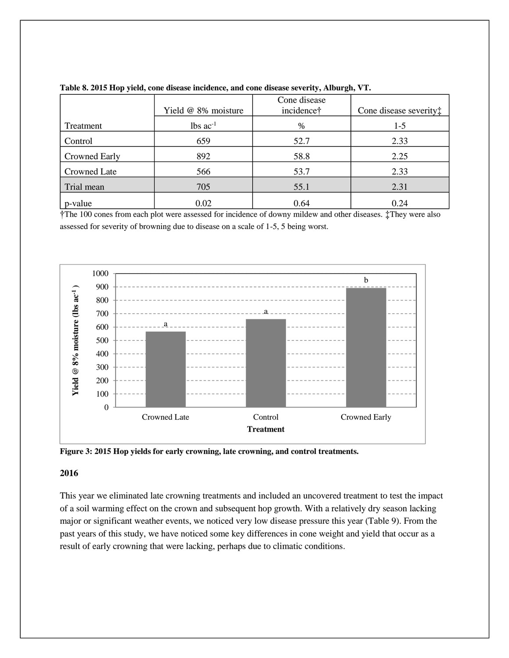|               | Yield @ 8% moisture | Cone disease<br>incidence† | Cone disease severity: |
|---------------|---------------------|----------------------------|------------------------|
| Treatment     | $lbs$ $ac^{-1}$     | $\%$                       | $1-5$                  |
| Control       | 659                 | 52.7                       | 2.33                   |
| Crowned Early | 892                 | 58.8                       | 2.25                   |
| Crowned Late  | 566                 | 53.7                       | 2.33                   |
| Trial mean    | 705                 | 55.1                       | 2.31                   |
| p-value       | 0.02                | 0.64                       | 0.24                   |

|  |  | Table 8. 2015 Hop yield, cone disease incidence, and cone disease severity, Alburgh, VT. |  |  |  |
|--|--|------------------------------------------------------------------------------------------|--|--|--|
|  |  |                                                                                          |  |  |  |

†The 100 cones from each plot were assessed for incidence of downy mildew and other diseases. ‡They were also assessed for severity of browning due to disease on a scale of 1-5, 5 being worst.





#### **2016**

This year we eliminated late crowning treatments and included an uncovered treatment to test the impact of a soil warming effect on the crown and subsequent hop growth. With a relatively dry season lacking major or significant weather events, we noticed very low disease pressure this year (Table 9). From the past years of this study, we have noticed some key differences in cone weight and yield that occur as a result of early crowning that were lacking, perhaps due to climatic conditions.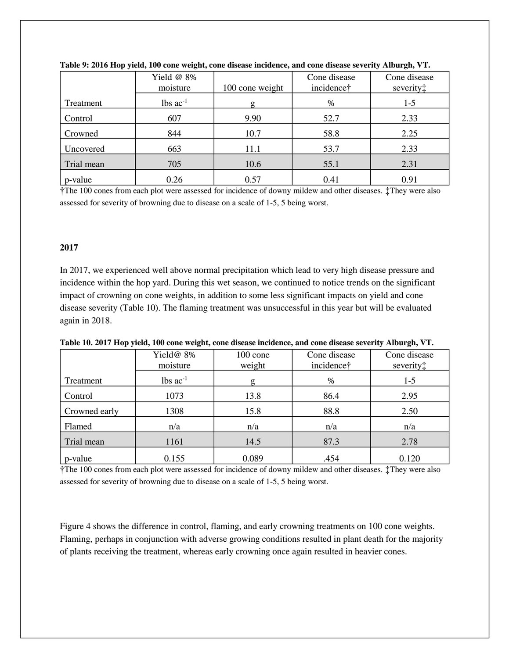|            | Yield @ 8%<br>moisture | 100 cone weight | Cone disease<br>incidence† | Cone disease<br>severity: |
|------------|------------------------|-----------------|----------------------------|---------------------------|
| Treatment  | $lbs$ $ac^{-1}$        |                 | %                          | $1-5$                     |
| Control    | 607                    | 9.90            | 52.7                       | 2.33                      |
| Crowned    | 844                    | 10.7            | 58.8                       | 2.25                      |
| Uncovered  | 663                    | 11.1            | 53.7                       | 2.33                      |
| Trial mean | 705                    | 10.6            | 55.1                       | 2.31                      |
| p-value    | 0.26                   | 0.57            | 0.41                       | 0.91                      |

**Table 9: 2016 Hop yield, 100 cone weight, cone disease incidence, and cone disease severity Alburgh, VT.**

†The 100 cones from each plot were assessed for incidence of downy mildew and other diseases. ‡They were also assessed for severity of browning due to disease on a scale of 1-5, 5 being worst.

#### **2017**

In 2017, we experienced well above normal precipitation which lead to very high disease pressure and incidence within the hop yard. During this wet season, we continued to notice trends on the significant impact of crowning on cone weights, in addition to some less significant impacts on yield and cone disease severity (Table 10). The flaming treatment was unsuccessful in this year but will be evaluated again in 2018.

|               | Yield@ 8%<br>$100$ cone<br>weight<br>moisture |       | Cone disease<br>incidence† | Cone disease<br>severity: |  |  |  |  |  |
|---------------|-----------------------------------------------|-------|----------------------------|---------------------------|--|--|--|--|--|
|               |                                               |       |                            |                           |  |  |  |  |  |
| Treatment     | $lbs$ ac <sup>-1</sup>                        | g     | $\%$                       | $1 - 5$                   |  |  |  |  |  |
| Control       | 1073                                          | 13.8  | 86.4                       | 2.95                      |  |  |  |  |  |
| Crowned early | 1308                                          | 15.8  | 88.8                       | 2.50                      |  |  |  |  |  |
| Flamed        | n/a                                           | n/a   | n/a                        | n/a                       |  |  |  |  |  |
| Trial mean    | 1161                                          | 14.5  | 87.3                       | 2.78                      |  |  |  |  |  |
| p-value       | 0.155                                         | 0.089 | .454                       | 0.120                     |  |  |  |  |  |

**Table 10. 2017 Hop yield, 100 cone weight, cone disease incidence, and cone disease severity Alburgh, VT.**

†The 100 cones from each plot were assessed for incidence of downy mildew and other diseases. ‡They were also assessed for severity of browning due to disease on a scale of 1-5, 5 being worst.

Figure 4 shows the difference in control, flaming, and early crowning treatments on 100 cone weights. Flaming, perhaps in conjunction with adverse growing conditions resulted in plant death for the majority of plants receiving the treatment, whereas early crowning once again resulted in heavier cones.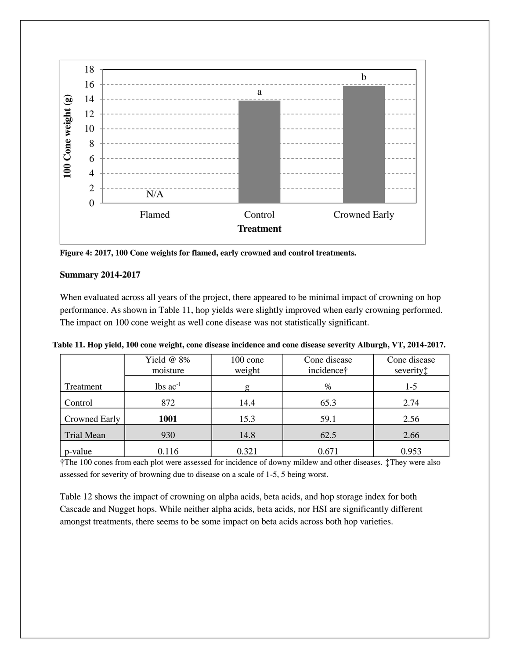

**Figure 4: 2017, 100 Cone weights for flamed, early crowned and control treatments.**

## **Summary 2014-2017**

When evaluated across all years of the project, there appeared to be minimal impact of crowning on hop performance. As shown in Table 11, hop yields were slightly improved when early crowning performed. The impact on 100 cone weight as well cone disease was not statistically significant.

|  | Table 11. Hop yield, 100 cone weight, cone disease incidence and cone disease severity Alburgh, VT, 2014-2017. |  |  |
|--|----------------------------------------------------------------------------------------------------------------|--|--|
|  |                                                                                                                |  |  |

|               | Yield @ 8%<br>moisture | $100$ cone<br>Cone disease<br>weight<br>incidence† |       | Cone disease<br>severity: |
|---------------|------------------------|----------------------------------------------------|-------|---------------------------|
| Treatment     | $lbs$ $ac^{-1}$        |                                                    | $\%$  | $1-5$                     |
| Control       | 872                    | 14.4                                               | 65.3  | 2.74                      |
| Crowned Early | 1001                   | 15.3                                               | 59.1  | 2.56                      |
| Trial Mean    | 930                    | 14.8                                               | 62.5  | 2.66                      |
| p-value       | 0.116                  | 0.321                                              | 0.671 | 0.953                     |

†The 100 cones from each plot were assessed for incidence of downy mildew and other diseases. ‡They were also assessed for severity of browning due to disease on a scale of 1-5, 5 being worst.

Table 12 shows the impact of crowning on alpha acids, beta acids, and hop storage index for both Cascade and Nugget hops. While neither alpha acids, beta acids, nor HSI are significantly different amongst treatments, there seems to be some impact on beta acids across both hop varieties.